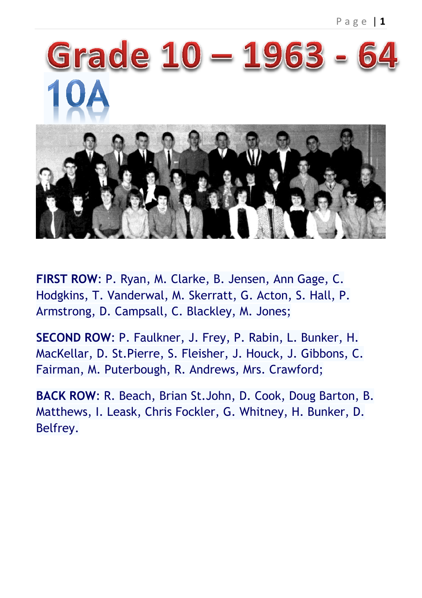

**FIRST ROW**: P. Ryan, M. Clarke, B. Jensen, Ann Gage, C. Hodgkins, T. Vanderwal, M. Skerratt, G. Acton, S. Hall, P. Armstrong, D. Campsall, C. Blackley, M. Jones;

**SECOND ROW**: P. Faulkner, J. Frey, P. Rabin, L. Bunker, H. MacKellar, D. St.Pierre, S. Fleisher, J. Houck, J. Gibbons, C. Fairman, M. Puterbough, R. Andrews, Mrs. Crawford;

**BACK ROW**: R. Beach, Brian St.John, D. Cook, Doug Barton, B. Matthews, I. Leask, Chris Fockler, G. Whitney, H. Bunker, D. Belfrey.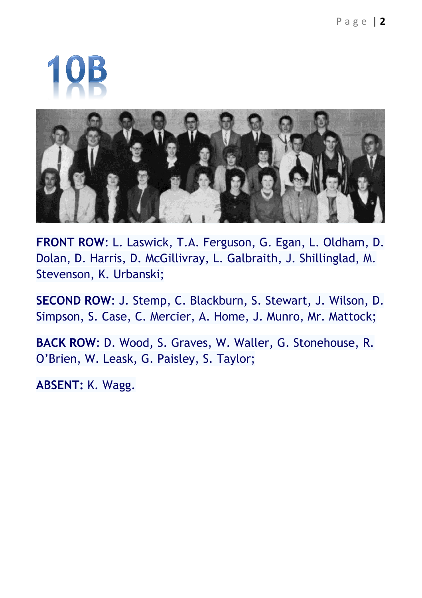

**FRONT ROW**: L. Laswick, T.A. Ferguson, G. Egan, L. Oldham, D. Dolan, D. Harris, D. McGillivray, L. Galbraith, J. Shillinglad, M. Stevenson, K. Urbanski;

**SECOND ROW**: J. Stemp, C. Blackburn, S. Stewart, J. Wilson, D. Simpson, S. Case, C. Mercier, A. Home, J. Munro, Mr. Mattock;

**BACK ROW**: D. Wood, S. Graves, W. Waller, G. Stonehouse, R. O'Brien, W. Leask, G. Paisley, S. Taylor;

**ABSENT:** K. Wagg.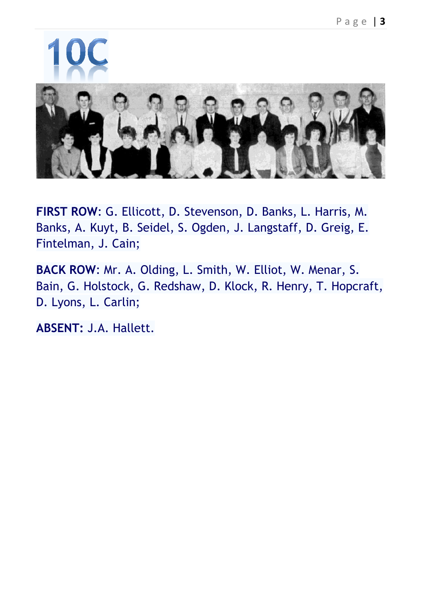

**FIRST ROW**: G. Ellicott, D. Stevenson, D. Banks, L. Harris, M. Banks, A. Kuyt, B. Seidel, S. Ogden, J. Langstaff, D. Greig, E. Fintelman, J. Cain;

**BACK ROW**: Mr. A. Olding, L. Smith, W. Elliot, W. Menar, S. Bain, G. Holstock, G. Redshaw, D. Klock, R. Henry, T. Hopcraft, D. Lyons, L. Carlin;

**ABSENT:** J.A. Hallett.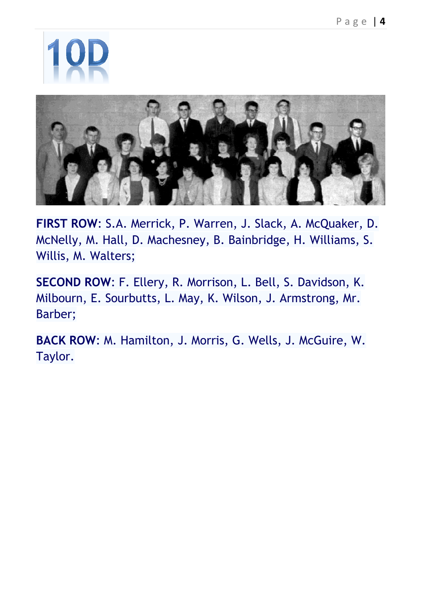

**FIRST ROW**: S.A. Merrick, P. Warren, J. Slack, A. McQuaker, D. McNelly, M. Hall, D. Machesney, B. Bainbridge, H. Williams, S. Willis, M. Walters;

**SECOND ROW**: F. Ellery, R. Morrison, L. Bell, S. Davidson, K. Milbourn, E. Sourbutts, L. May, K. Wilson, J. Armstrong, Mr. Barber;

**BACK ROW**: M. Hamilton, J. Morris, G. Wells, J. McGuire, W. Taylor.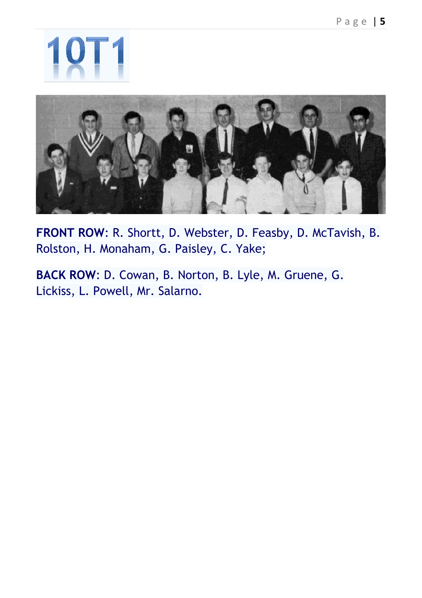

**FRONT ROW**: R. Shortt, D. Webster, D. Feasby, D. McTavish, B. Rolston, H. Monaham, G. Paisley, C. Yake;

**BACK ROW**: D. Cowan, B. Norton, B. Lyle, M. Gruene, G. Lickiss, L. Powell, Mr. Salarno.